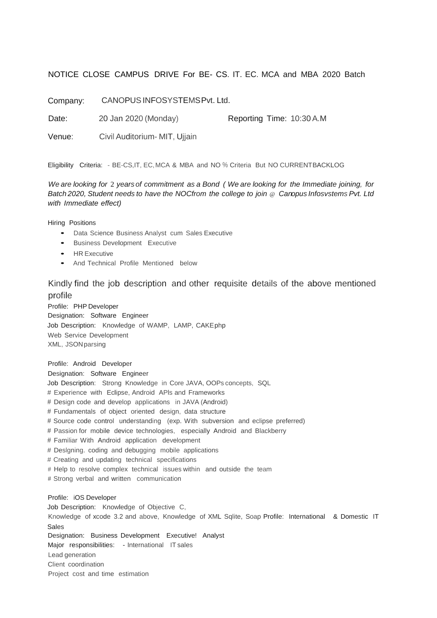## NOTICE CLOSE CAMPUS DRIVE For BE- CS. IT. EC. MCA and MBA 2020 Batch

Company: CANOPUSINFOSYSTEMSPvt. Ltd.

Date: 20 Jan 2020 (Monday) Reporting Time: 10:30 A.M

Venue: Civil Auditorium- MIT, Ujjain

Eligibility Criteria: - BE-CS,IT, EC,MCA & MBA and NO % Criteria But NO CURRENTBACKLOG

*We are looking for* 2 *yearsof commitment as a Bond ( We are looking for the Immediate joining, for Batch 2020, Student needs to have the NOCfrom the college to join* @ *Canopus Infosvstems Pvt. Ltd with Immediate effect)*

Hiring Positions

- Data Science Business Analyst cum Sales Executive
- Business Development Executive
- HR Executive
- And Technical Profile Mentioned below

## Kindly find the job description and other requisite details of the above mentioned profile

Profile: PHP Developer Designation: Software Engineer Job Description: Knowledge of WAMP, LAMP, CAKEphp Web Service Development XML, JSONparsing

Profile: Android Developer Designation: Software Engineer Job Description: Strong Knowledge in Core JAVA, OOPs concepts, SQL # Experience with Eclipse, Android APls and Frameworks # Design code and develop applications in JAVA (Android) # Fundamentals of object oriented design, data structure # Source code control understanding (exp. With subversion and eclipse preferred) # Passion for mobile device technologies, especially Android and Blackberry # Familiar With Android application development # Deslgning. coding and debugging mobile applications # Creating and updating technical specifications # Help to resolve complex technical issues within and outside the team # Strong verbal and written communication Profile: iOS Developer Job Description: Knowledge of Objective C, Knowledge of xcode 3.2 and above, Knowledge of XML Sqlite, Soap Profile: International & Domestic IT Sales Designation: Business Development Executive! Analyst Major responsibilities: - International IT sales Lead generation Client coordination

Project cost and time estimation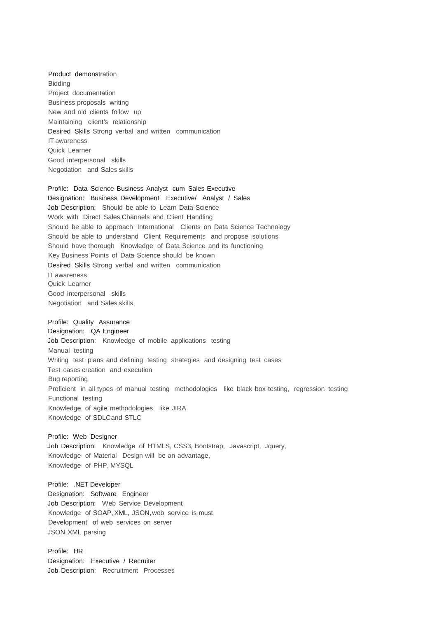Product demonstration Bidding Project documentation Business proposals writing New and old clients follow up Maintaining client's relationship Desired Skills Strong verbal and written communication IT awareness Quick Learner Good interpersonal skills Negotiation and Sales skills

Profile: Data Science Business Analyst cum Sales Executive Designation: Business Development Executive/ Analyst / Sales Job Description: Should be able to Learn Data Science Work with Direct Sales Channels and Client Handling Should be able to approach International Clients on Data Science Technology Should be able to understand Client Requirements and propose solutions Should have thorough Knowledge of Data Science and its functioning Key Business Points of Data Science should be known Desired Skills Strong verbal and written communication IT awareness Quick Learner

Good interpersonal skills Negotiation and Sales skills

Profile: Quality Assurance Designation: QA Engineer Job Description: Knowledge of mobile applications testing Manual testing Writing test plans and defining testing strategies and designing test cases Test cases creation and execution Bug reporting Proficient in all types of manual testing methodologies like black box testing, regression testing Functional testing Knowledge of agile methodologies like JIRA Knowledge of SDLCand STLC

Profile: Web Designer Job Description: Knowledge of HTMLS, CSS3, Bootstrap, Javascript, Jquery, Knowledge of Material Design will be an advantage, Knowledge of PHP, MYSQL

Profile: .NET Developer Designation: Software Engineer Job Description: Web Service Development Knowledge of SOAP, XML, JSON,web service is must Development of web services on server JSON,XML parsing

Profile: HR Designation: Executive / Recruiter Job Description: Recruitment Processes